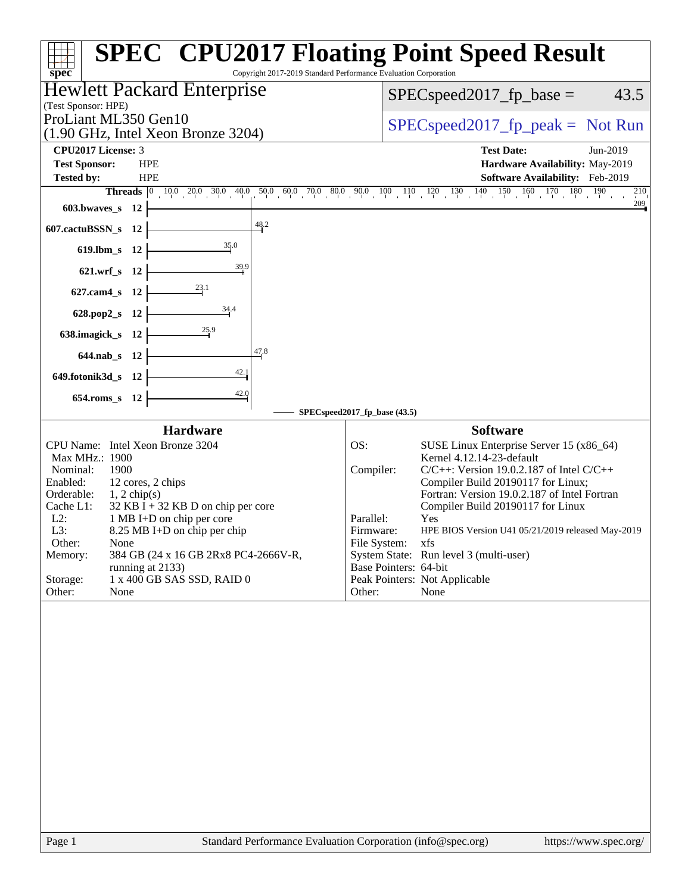| Copyright 2017-2019 Standard Performance Evaluation Corporation<br>spec <sup>®</sup>                                                                                                                                                                                                                                                                                                                                                               | <b>SPEC<sup>®</sup> CPU2017 Floating Point Speed Result</b>                                                                                                                                                                                                                                                                                                                                                                                                                                                                 |  |  |  |  |  |
|----------------------------------------------------------------------------------------------------------------------------------------------------------------------------------------------------------------------------------------------------------------------------------------------------------------------------------------------------------------------------------------------------------------------------------------------------|-----------------------------------------------------------------------------------------------------------------------------------------------------------------------------------------------------------------------------------------------------------------------------------------------------------------------------------------------------------------------------------------------------------------------------------------------------------------------------------------------------------------------------|--|--|--|--|--|
| Hewlett Packard Enterprise                                                                                                                                                                                                                                                                                                                                                                                                                         | 43.5<br>$SPEC speed2017_fp\_base =$                                                                                                                                                                                                                                                                                                                                                                                                                                                                                         |  |  |  |  |  |
| (Test Sponsor: HPE)                                                                                                                                                                                                                                                                                                                                                                                                                                |                                                                                                                                                                                                                                                                                                                                                                                                                                                                                                                             |  |  |  |  |  |
| ProLiant ML350 Gen10                                                                                                                                                                                                                                                                                                                                                                                                                               | $SPEC speed2017fr peak = Not Run$                                                                                                                                                                                                                                                                                                                                                                                                                                                                                           |  |  |  |  |  |
| $(1.90 \text{ GHz}, \text{Intel Xeon Bronze } 3204)$                                                                                                                                                                                                                                                                                                                                                                                               |                                                                                                                                                                                                                                                                                                                                                                                                                                                                                                                             |  |  |  |  |  |
| <b>CPU2017 License: 3</b><br><b>Test Sponsor:</b><br><b>HPE</b>                                                                                                                                                                                                                                                                                                                                                                                    | <b>Test Date:</b><br>Jun-2019<br>Hardware Availability: May-2019                                                                                                                                                                                                                                                                                                                                                                                                                                                            |  |  |  |  |  |
| <b>Tested by:</b><br><b>HPE</b>                                                                                                                                                                                                                                                                                                                                                                                                                    | Software Availability: Feb-2019                                                                                                                                                                                                                                                                                                                                                                                                                                                                                             |  |  |  |  |  |
| <b>Threads</b> $\begin{bmatrix} 0 & 10.0 & 20.0 & 30.0 & 40.0 & 50.0 & 60.0 & 70.0 & 80.0 \end{bmatrix}$                                                                                                                                                                                                                                                                                                                                           | $\begin{array}{cccccccccc} 90.0 & 100 & 110 & 120 & 130 & 140 & 150 & 160 & 170 & 180 \end{array}$<br><sup>190</sup><br>210                                                                                                                                                                                                                                                                                                                                                                                                 |  |  |  |  |  |
| $603.bwaves$ $12$                                                                                                                                                                                                                                                                                                                                                                                                                                  | $\frac{209}{4}$                                                                                                                                                                                                                                                                                                                                                                                                                                                                                                             |  |  |  |  |  |
| 48.2<br>607.cactuBSSN_s 12                                                                                                                                                                                                                                                                                                                                                                                                                         |                                                                                                                                                                                                                                                                                                                                                                                                                                                                                                                             |  |  |  |  |  |
| 35.0<br>619.lbm_s 12                                                                                                                                                                                                                                                                                                                                                                                                                               |                                                                                                                                                                                                                                                                                                                                                                                                                                                                                                                             |  |  |  |  |  |
| 39.9<br>621.wrf_s 12                                                                                                                                                                                                                                                                                                                                                                                                                               |                                                                                                                                                                                                                                                                                                                                                                                                                                                                                                                             |  |  |  |  |  |
| $\frac{23.1}{2}$<br>627.cam4_s 12                                                                                                                                                                                                                                                                                                                                                                                                                  |                                                                                                                                                                                                                                                                                                                                                                                                                                                                                                                             |  |  |  |  |  |
| $\frac{34.4}{5}$<br>628.pop2_s 12                                                                                                                                                                                                                                                                                                                                                                                                                  |                                                                                                                                                                                                                                                                                                                                                                                                                                                                                                                             |  |  |  |  |  |
| 638.imagick_s 12                                                                                                                                                                                                                                                                                                                                                                                                                                   |                                                                                                                                                                                                                                                                                                                                                                                                                                                                                                                             |  |  |  |  |  |
| 47.8<br>644.nab_s 12                                                                                                                                                                                                                                                                                                                                                                                                                               |                                                                                                                                                                                                                                                                                                                                                                                                                                                                                                                             |  |  |  |  |  |
| 42.1<br>649.fotonik3d_s 12                                                                                                                                                                                                                                                                                                                                                                                                                         |                                                                                                                                                                                                                                                                                                                                                                                                                                                                                                                             |  |  |  |  |  |
| 42.0<br>654.roms_s 12                                                                                                                                                                                                                                                                                                                                                                                                                              |                                                                                                                                                                                                                                                                                                                                                                                                                                                                                                                             |  |  |  |  |  |
|                                                                                                                                                                                                                                                                                                                                                                                                                                                    | SPECspeed2017_fp_base (43.5)                                                                                                                                                                                                                                                                                                                                                                                                                                                                                                |  |  |  |  |  |
| <b>Hardware</b><br>CPU Name: Intel Xeon Bronze 3204<br>Max MHz.: 1900<br>1900<br>Nominal:<br>Enabled:<br>12 cores, 2 chips<br>Orderable:<br>$1, 2$ chip(s)<br>$32$ KB I + 32 KB D on chip per core<br>Cache L1:<br>$L2$ :<br>1 MB I+D on chip per core<br>L3:<br>8.25 MB I+D on chip per chip<br>Other:<br>None<br>Memory:<br>384 GB (24 x 16 GB 2Rx8 PC4-2666V-R,<br>running at 2133)<br>1 x 400 GB SAS SSD, RAID 0<br>Storage:<br>Other:<br>None | <b>Software</b><br>OS:<br>SUSE Linux Enterprise Server 15 (x86_64)<br>Kernel 4.12.14-23-default<br>Compiler:<br>$C/C++$ : Version 19.0.2.187 of Intel $C/C++$<br>Compiler Build 20190117 for Linux;<br>Fortran: Version 19.0.2.187 of Intel Fortran<br>Compiler Build 20190117 for Linux<br>Parallel:<br>Yes<br>HPE BIOS Version U41 05/21/2019 released May-2019<br>Firmware:<br>File System:<br>xfs<br>System State: Run level 3 (multi-user)<br>Base Pointers: 64-bit<br>Peak Pointers: Not Applicable<br>Other:<br>None |  |  |  |  |  |
|                                                                                                                                                                                                                                                                                                                                                                                                                                                    |                                                                                                                                                                                                                                                                                                                                                                                                                                                                                                                             |  |  |  |  |  |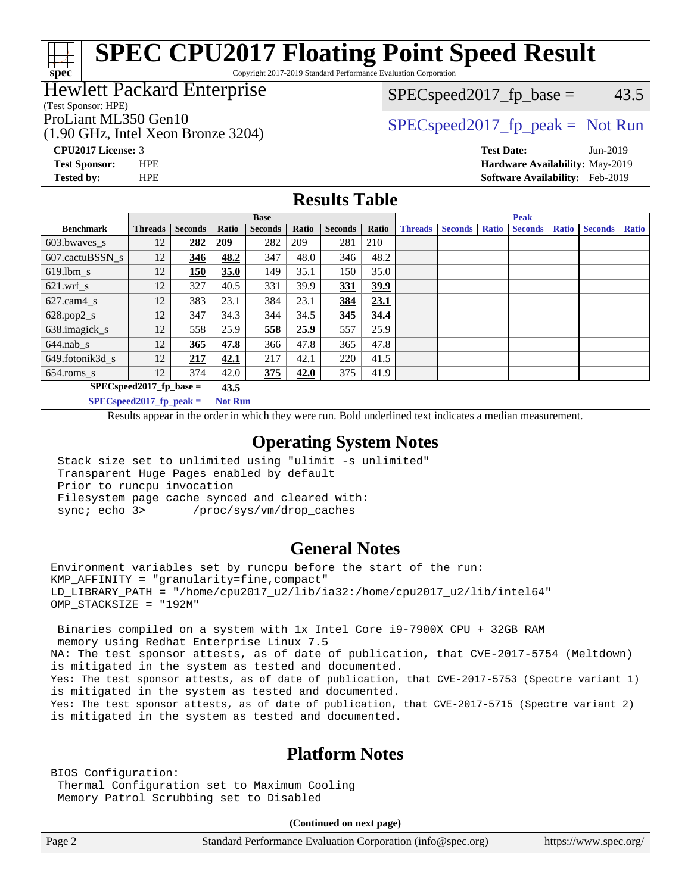Copyright 2017-2019 Standard Performance Evaluation Corporation

# Hewlett Packard Enterprise

(Test Sponsor: HPE)

**[spec](http://www.spec.org/)**

(1.90 GHz, Intel Xeon Bronze 3204)

 $SPEC speed2017_fp\_base = 43.5$ 

# ProLiant ML350 Gen10  $SPEC speed2017_f$   $peak = Not Run$

**[CPU2017 License:](http://www.spec.org/auto/cpu2017/Docs/result-fields.html#CPU2017License)** 3 **[Test Date:](http://www.spec.org/auto/cpu2017/Docs/result-fields.html#TestDate)** Jun-2019 **[Test Sponsor:](http://www.spec.org/auto/cpu2017/Docs/result-fields.html#TestSponsor)** HPE **[Hardware Availability:](http://www.spec.org/auto/cpu2017/Docs/result-fields.html#HardwareAvailability)** May-2019 **[Tested by:](http://www.spec.org/auto/cpu2017/Docs/result-fields.html#Testedby)** HPE **[Software Availability:](http://www.spec.org/auto/cpu2017/Docs/result-fields.html#SoftwareAvailability)** Feb-2019

### **[Results Table](http://www.spec.org/auto/cpu2017/Docs/result-fields.html#ResultsTable)**

|                                    | <b>Base</b>    |                |            |                |       |                | <b>Peak</b> |                |                |              |                |              |                |              |
|------------------------------------|----------------|----------------|------------|----------------|-------|----------------|-------------|----------------|----------------|--------------|----------------|--------------|----------------|--------------|
| <b>Benchmark</b>                   | <b>Threads</b> | <b>Seconds</b> | Ratio      | <b>Seconds</b> | Ratio | <b>Seconds</b> | Ratio       | <b>Threads</b> | <b>Seconds</b> | <b>Ratio</b> | <b>Seconds</b> | <b>Ratio</b> | <b>Seconds</b> | <b>Ratio</b> |
| 603.bwayes s                       | 12             | 282            | <b>209</b> | 282            | 209   | 281            | 210         |                |                |              |                |              |                |              |
| 607.cactuBSSN s                    | 12             | 346            | 48.2       | 347            | 48.0  | 346            | 48.2        |                |                |              |                |              |                |              |
| $619.1$ bm s                       | 12             | 150            | 35.0       | 149            | 35.1  | 150            | 35.0        |                |                |              |                |              |                |              |
| $621.wrf$ s                        | 12             | 327            | 40.5       | 331            | 39.9  | 331            | 39.9        |                |                |              |                |              |                |              |
| $627$ .cam $4 \text{ s}$           | 12             | 383            | 23.1       | 384            | 23.1  | 384            | 23.1        |                |                |              |                |              |                |              |
| $628.pop2_s$                       | 12             | 347            | 34.3       | 344            | 34.5  | 345            | 34.4        |                |                |              |                |              |                |              |
| 638.imagick_s                      | 12             | 558            | 25.9       | 558            | 25.9  | 557            | 25.9        |                |                |              |                |              |                |              |
| $644$ .nab s                       | 12             | 365            | 47.8       | 366            | 47.8  | 365            | 47.8        |                |                |              |                |              |                |              |
| 649.fotonik3d s                    | 12             | 217            | 42.1       | 217            | 42.1  | 220            | 41.5        |                |                |              |                |              |                |              |
| $654$ .roms s                      | 12             | 374            | 42.0       | 375            | 42.0  | 375            | 41.9        |                |                |              |                |              |                |              |
| $SPEC speed2017$ fp base =<br>43.5 |                |                |            |                |       |                |             |                |                |              |                |              |                |              |
| SPECspeed 2017 fp peak $=$         | <b>Not Run</b> |                |            |                |       |                |             |                |                |              |                |              |                |              |

Results appear in the [order in which they were run.](http://www.spec.org/auto/cpu2017/Docs/result-fields.html#RunOrder) Bold underlined text [indicates a median measurement](http://www.spec.org/auto/cpu2017/Docs/result-fields.html#Median).

#### **[Operating System Notes](http://www.spec.org/auto/cpu2017/Docs/result-fields.html#OperatingSystemNotes)**

 Stack size set to unlimited using "ulimit -s unlimited" Transparent Huge Pages enabled by default Prior to runcpu invocation Filesystem page cache synced and cleared with: sync; echo 3> /proc/sys/vm/drop\_caches

#### **[General Notes](http://www.spec.org/auto/cpu2017/Docs/result-fields.html#GeneralNotes)**

Environment variables set by runcpu before the start of the run:  $KMP$  AFFINITY = "granularity=fine, compact" LD\_LIBRARY\_PATH = "/home/cpu2017\_u2/lib/ia32:/home/cpu2017\_u2/lib/intel64" OMP\_STACKSIZE = "192M"

 Binaries compiled on a system with 1x Intel Core i9-7900X CPU + 32GB RAM memory using Redhat Enterprise Linux 7.5 NA: The test sponsor attests, as of date of publication, that CVE-2017-5754 (Meltdown) is mitigated in the system as tested and documented. Yes: The test sponsor attests, as of date of publication, that CVE-2017-5753 (Spectre variant 1) is mitigated in the system as tested and documented. Yes: The test sponsor attests, as of date of publication, that CVE-2017-5715 (Spectre variant 2) is mitigated in the system as tested and documented.

## **[Platform Notes](http://www.spec.org/auto/cpu2017/Docs/result-fields.html#PlatformNotes)**

BIOS Configuration: Thermal Configuration set to Maximum Cooling Memory Patrol Scrubbing set to Disabled

**(Continued on next page)**

Page 2 Standard Performance Evaluation Corporation [\(info@spec.org\)](mailto:info@spec.org) <https://www.spec.org/>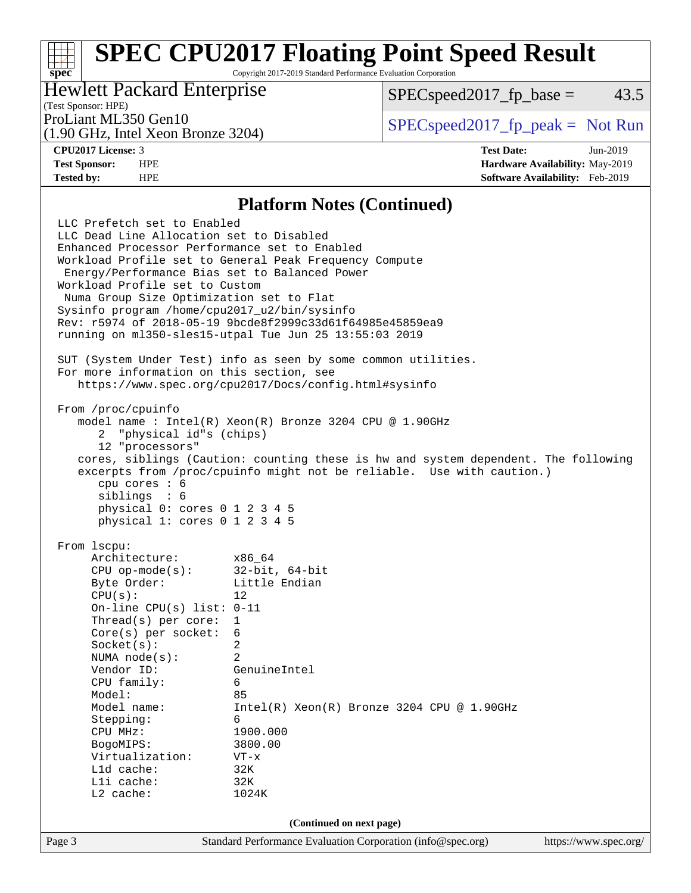Copyright 2017-2019 Standard Performance Evaluation Corporation

# Hewlett Packard Enterprise

 $SPEC speed2017_fp\_base = 43.5$ 

# (Test Sponsor: HPE)

(1.90 GHz, Intel Xeon Bronze 3204)

ProLiant ML350 Gen10  $SPEC speed2017_fp\_peak = Not Run$ 

**[spec](http://www.spec.org/)**

**[CPU2017 License:](http://www.spec.org/auto/cpu2017/Docs/result-fields.html#CPU2017License)** 3 **[Test Date:](http://www.spec.org/auto/cpu2017/Docs/result-fields.html#TestDate)** Jun-2019 **[Test Sponsor:](http://www.spec.org/auto/cpu2017/Docs/result-fields.html#TestSponsor)** HPE **[Hardware Availability:](http://www.spec.org/auto/cpu2017/Docs/result-fields.html#HardwareAvailability)** May-2019 **[Tested by:](http://www.spec.org/auto/cpu2017/Docs/result-fields.html#Testedby)** HPE **[Software Availability:](http://www.spec.org/auto/cpu2017/Docs/result-fields.html#SoftwareAvailability)** Feb-2019

#### **[Platform Notes \(Continued\)](http://www.spec.org/auto/cpu2017/Docs/result-fields.html#PlatformNotes)**

Page 3 Standard Performance Evaluation Corporation [\(info@spec.org\)](mailto:info@spec.org) <https://www.spec.org/> LLC Prefetch set to Enabled LLC Dead Line Allocation set to Disabled Enhanced Processor Performance set to Enabled Workload Profile set to General Peak Frequency Compute Energy/Performance Bias set to Balanced Power Workload Profile set to Custom Numa Group Size Optimization set to Flat Sysinfo program /home/cpu2017\_u2/bin/sysinfo Rev: r5974 of 2018-05-19 9bcde8f2999c33d61f64985e45859ea9 running on ml350-sles15-utpal Tue Jun 25 13:55:03 2019 SUT (System Under Test) info as seen by some common utilities. For more information on this section, see <https://www.spec.org/cpu2017/Docs/config.html#sysinfo> From /proc/cpuinfo model name : Intel(R) Xeon(R) Bronze 3204 CPU @ 1.90GHz 2 "physical id"s (chips) 12 "processors" cores, siblings (Caution: counting these is hw and system dependent. The following excerpts from /proc/cpuinfo might not be reliable. Use with caution.) cpu cores : 6 siblings : 6 physical 0: cores 0 1 2 3 4 5 physical 1: cores 0 1 2 3 4 5 From lscpu: Architecture: x86\_64<br>CPU op-mode(s): 32-bit, 64-bit CPU op-mode $(s)$ : Byte Order: Little Endian  $CPU(s):$  12 On-line CPU(s) list: 0-11 Thread(s) per core: 1 Core(s) per socket: 6 Socket(s): 2 NUMA node(s): 2 Vendor ID: GenuineIntel CPU family: 6 Model: 85 Model name: Intel(R) Xeon(R) Bronze 3204 CPU @ 1.90GHz Stepping: CPU MHz: 1900.000 BogoMIPS: 3800.00 Virtualization: VT-x L1d cache: 32K L1i cache: 32K L2 cache: 1024K **(Continued on next page)**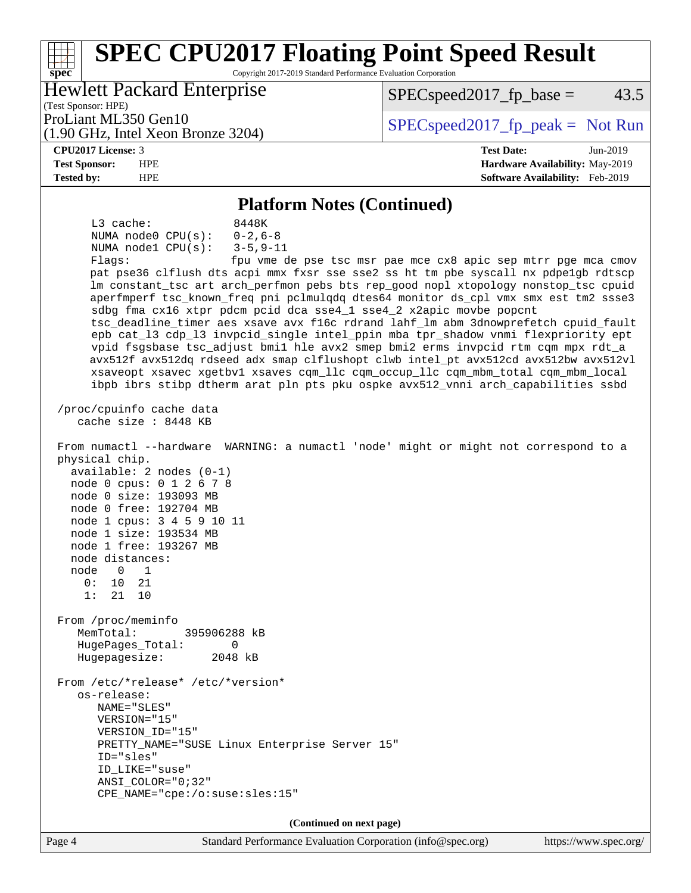#### **[spec](http://www.spec.org/) [SPEC CPU2017 Floating Point Speed Result](http://www.spec.org/auto/cpu2017/Docs/result-fields.html#SPECCPU2017FloatingPointSpeedResult)** Copyright 2017-2019 Standard Performance Evaluation Corporation (Test Sponsor: HPE) Hewlett Packard Enterprise (1.90 GHz, Intel Xeon Bronze 3204) ProLiant ML350 Gen10  $SPEC speed2017_fp\_peak = Not Run$  $SPEC speed2017<sub>fp</sub> base = 43.5$ **[CPU2017 License:](http://www.spec.org/auto/cpu2017/Docs/result-fields.html#CPU2017License)** 3 **[Test Date:](http://www.spec.org/auto/cpu2017/Docs/result-fields.html#TestDate)** Jun-2019 **[Test Sponsor:](http://www.spec.org/auto/cpu2017/Docs/result-fields.html#TestSponsor)** HPE **[Hardware Availability:](http://www.spec.org/auto/cpu2017/Docs/result-fields.html#HardwareAvailability)** May-2019 **[Tested by:](http://www.spec.org/auto/cpu2017/Docs/result-fields.html#Testedby)** HPE **[Software Availability:](http://www.spec.org/auto/cpu2017/Docs/result-fields.html#SoftwareAvailability)** Feb-2019 **[Platform Notes \(Continued\)](http://www.spec.org/auto/cpu2017/Docs/result-fields.html#PlatformNotes)** L3 cache: 8448K NUMA node0 CPU(s): 0-2,6-8 NUMA node1 CPU(s): 3-5,9-11 Flags: fpu vme de pse tsc msr pae mce cx8 apic sep mtrr pge mca cmov pat pse36 clflush dts acpi mmx fxsr sse sse2 ss ht tm pbe syscall nx pdpe1gb rdtscp lm constant\_tsc art arch\_perfmon pebs bts rep\_good nopl xtopology nonstop\_tsc cpuid aperfmperf tsc\_known\_freq pni pclmulqdq dtes64 monitor ds\_cpl vmx smx est tm2 ssse3 sdbg fma cx16 xtpr pdcm pcid dca sse4\_1 sse4\_2 x2apic movbe popcnt tsc\_deadline\_timer aes xsave avx f16c rdrand lahf\_lm abm 3dnowprefetch cpuid\_fault epb cat\_l3 cdp\_l3 invpcid\_single intel\_ppin mba tpr\_shadow vnmi flexpriority ept vpid fsgsbase tsc\_adjust bmi1 hle avx2 smep bmi2 erms invpcid rtm cqm mpx rdt\_a avx512f avx512dq rdseed adx smap clflushopt clwb intel\_pt avx512cd avx512bw avx512vl xsaveopt xsavec xgetbv1 xsaves cqm\_llc cqm\_occup\_llc cqm\_mbm\_total cqm\_mbm\_local ibpb ibrs stibp dtherm arat pln pts pku ospke avx512\_vnni arch\_capabilities ssbd /proc/cpuinfo cache data cache size : 8448 KB From numactl --hardware WARNING: a numactl 'node' might or might not correspond to a physical chip. available: 2 nodes (0-1) node 0 cpus: 0 1 2 6 7 8 node 0 size: 193093 MB node 0 free: 192704 MB node 1 cpus: 3 4 5 9 10 11 node 1 size: 193534 MB node 1 free: 193267 MB node distances: node 0 1 0: 10 21 1: 21 10 From /proc/meminfo MemTotal: 395906288 kB HugePages\_Total: 0 Hugepagesize: 2048 kB From /etc/\*release\* /etc/\*version\* os-release: NAME="SLES" VERSION="15"

 VERSION\_ID="15" PRETTY\_NAME="SUSE Linux Enterprise Server 15" ID="sles" ID\_LIKE="suse" ANSI\_COLOR="0;32"

CPE\_NAME="cpe:/o:suse:sles:15"

**(Continued on next page)**

Page 4 Standard Performance Evaluation Corporation [\(info@spec.org\)](mailto:info@spec.org) <https://www.spec.org/>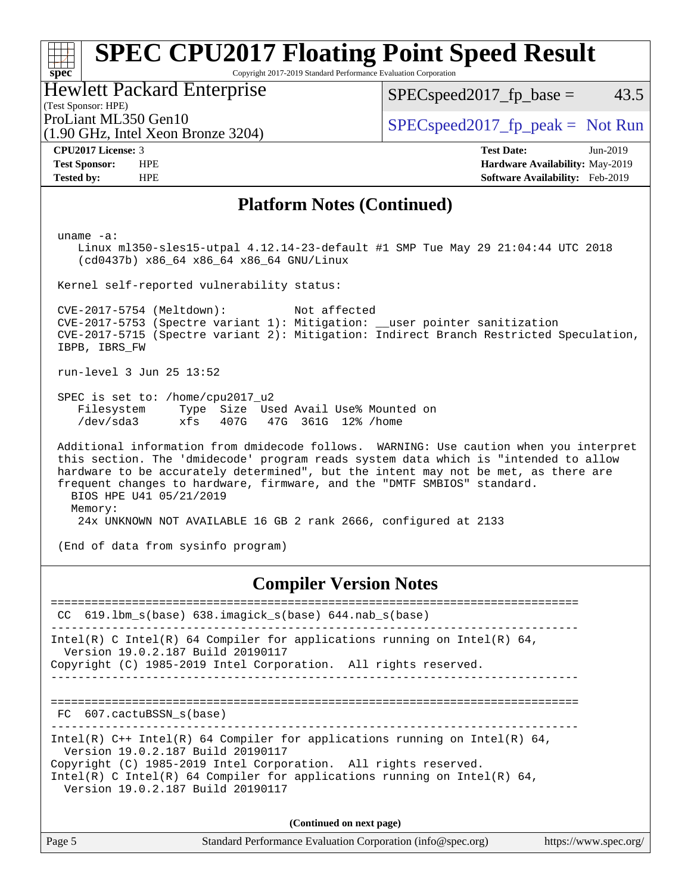Copyright 2017-2019 Standard Performance Evaluation Corporation

Hewlett Packard Enterprise

(1.90 GHz, Intel Xeon Bronze 3204)

 $SPEC speed2017_fp\_base = 43.5$ 

(Test Sponsor: HPE)

ProLiant ML350 Gen10  $SPEC speed2017_f$   $peak = Not Run$ 

**[spec](http://www.spec.org/)**

**[CPU2017 License:](http://www.spec.org/auto/cpu2017/Docs/result-fields.html#CPU2017License)** 3 **[Test Date:](http://www.spec.org/auto/cpu2017/Docs/result-fields.html#TestDate)** Jun-2019 **[Test Sponsor:](http://www.spec.org/auto/cpu2017/Docs/result-fields.html#TestSponsor)** HPE **[Hardware Availability:](http://www.spec.org/auto/cpu2017/Docs/result-fields.html#HardwareAvailability)** May-2019 **[Tested by:](http://www.spec.org/auto/cpu2017/Docs/result-fields.html#Testedby)** HPE **[Software Availability:](http://www.spec.org/auto/cpu2017/Docs/result-fields.html#SoftwareAvailability)** Feb-2019

#### **[Platform Notes \(Continued\)](http://www.spec.org/auto/cpu2017/Docs/result-fields.html#PlatformNotes)**

uname -a:

 Linux ml350-sles15-utpal 4.12.14-23-default #1 SMP Tue May 29 21:04:44 UTC 2018 (cd0437b) x86\_64 x86\_64 x86\_64 GNU/Linux

Kernel self-reported vulnerability status:

 CVE-2017-5754 (Meltdown): Not affected CVE-2017-5753 (Spectre variant 1): Mitigation: \_\_user pointer sanitization CVE-2017-5715 (Spectre variant 2): Mitigation: Indirect Branch Restricted Speculation, IBPB, IBRS\_FW

run-level 3 Jun 25 13:52

 SPEC is set to: /home/cpu2017\_u2 Filesystem Type Size Used Avail Use% Mounted on /dev/sda3 xfs 407G 47G 361G 12% /home

 Additional information from dmidecode follows. WARNING: Use caution when you interpret this section. The 'dmidecode' program reads system data which is "intended to allow hardware to be accurately determined", but the intent may not be met, as there are frequent changes to hardware, firmware, and the "DMTF SMBIOS" standard. BIOS HPE U41 05/21/2019 Memory: 24x UNKNOWN NOT AVAILABLE 16 GB 2 rank 2666, configured at 2133

(End of data from sysinfo program)

**[Compiler Version Notes](http://www.spec.org/auto/cpu2017/Docs/result-fields.html#CompilerVersionNotes)**

============================================================================== CC 619.lbm\_s(base) 638.imagick\_s(base) 644.nab\_s(base) ------------------------------------------------------------------------------ Intel(R) C Intel(R) 64 Compiler for applications running on Intel(R)  $64$ , Version 19.0.2.187 Build 20190117 Copyright (C) 1985-2019 Intel Corporation. All rights reserved. ------------------------------------------------------------------------------ ============================================================================== FC 607.cactuBSSN s(base) ------------------------------------------------------------------------------ Intel(R) C++ Intel(R) 64 Compiler for applications running on Intel(R)  $64$ , Version 19.0.2.187 Build 20190117 Copyright (C) 1985-2019 Intel Corporation. All rights reserved. Intel(R) C Intel(R) 64 Compiler for applications running on Intel(R)  $64$ , Version 19.0.2.187 Build 20190117 **(Continued on next page)**

Page 5 Standard Performance Evaluation Corporation [\(info@spec.org\)](mailto:info@spec.org) <https://www.spec.org/>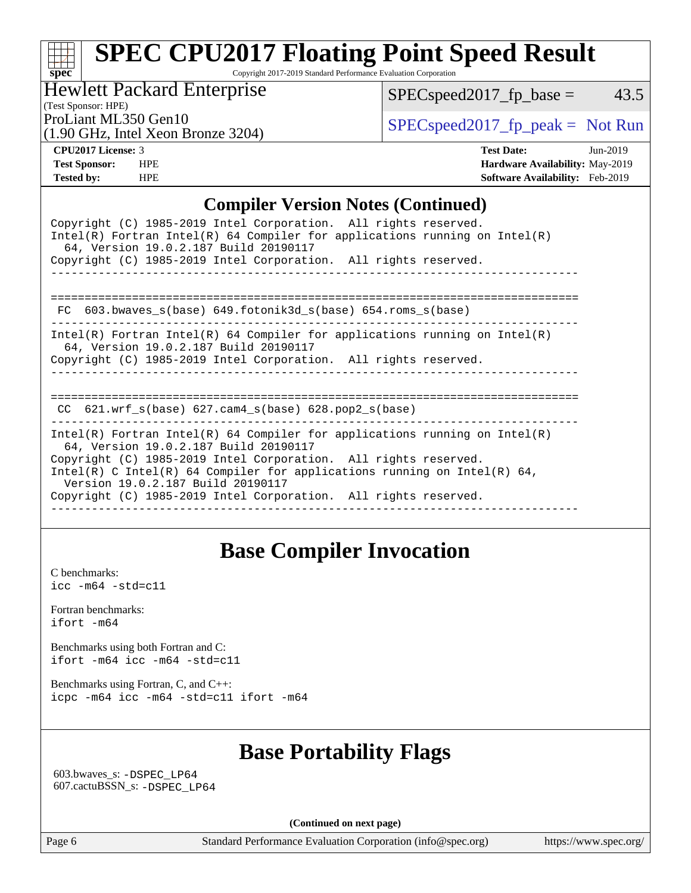Copyright 2017-2019 Standard Performance Evaluation Corporation

Hewlett Packard Enterprise

 $SPEC speed2017_fp\_base = 43.5$ 

(Test Sponsor: HPE)

(1.90 GHz, Intel Xeon Bronze 3204)

ProLiant ML350 Gen10  $SPEC speed2017$  [p\_peak = Not Run

**[spec](http://www.spec.org/)**

**[CPU2017 License:](http://www.spec.org/auto/cpu2017/Docs/result-fields.html#CPU2017License)** 3 **[Test Date:](http://www.spec.org/auto/cpu2017/Docs/result-fields.html#TestDate)** Jun-2019 **[Test Sponsor:](http://www.spec.org/auto/cpu2017/Docs/result-fields.html#TestSponsor)** HPE **[Hardware Availability:](http://www.spec.org/auto/cpu2017/Docs/result-fields.html#HardwareAvailability)** May-2019 **[Tested by:](http://www.spec.org/auto/cpu2017/Docs/result-fields.html#Testedby)** HPE **[Software Availability:](http://www.spec.org/auto/cpu2017/Docs/result-fields.html#SoftwareAvailability)** Feb-2019

## **[Compiler Version Notes \(Continued\)](http://www.spec.org/auto/cpu2017/Docs/result-fields.html#CompilerVersionNotes)**

| Copyright (C) 1985-2019 Intel Corporation. All rights reserved.<br>Intel(R) Fortran Intel(R) 64 Compiler for applications running on Intel(R)<br>64, Version 19.0.2.187 Build 20190117<br>Copyright (C) 1985-2019 Intel Corporation. All rights reserved.                                                                                                                  |
|----------------------------------------------------------------------------------------------------------------------------------------------------------------------------------------------------------------------------------------------------------------------------------------------------------------------------------------------------------------------------|
| 603.bwaves $s(base)$ 649.fotonik3d $s(base)$ 654.roms $s(base)$<br>FC.                                                                                                                                                                                                                                                                                                     |
| Intel(R) Fortran Intel(R) 64 Compiler for applications running on Intel(R)<br>64, Version 19.0.2.187 Build 20190117<br>Copyright (C) 1985-2019 Intel Corporation. All rights reserved.                                                                                                                                                                                     |
| CC $621.$ wrf $s(base)$ $627.$ cam4 $s(base)$ $628.$ pop2 $s(base)$                                                                                                                                                                                                                                                                                                        |
| Intel(R) Fortran Intel(R) 64 Compiler for applications running on Intel(R)<br>64, Version 19.0.2.187 Build 20190117<br>Copyright (C) 1985-2019 Intel Corporation. All rights reserved.<br>Intel(R) C Intel(R) 64 Compiler for applications running on Intel(R) 64,<br>Version 19.0.2.187 Build 20190117<br>Copyright (C) 1985-2019 Intel Corporation. All rights reserved. |

# **[Base Compiler Invocation](http://www.spec.org/auto/cpu2017/Docs/result-fields.html#BaseCompilerInvocation)**

[C benchmarks](http://www.spec.org/auto/cpu2017/Docs/result-fields.html#Cbenchmarks): [icc -m64 -std=c11](http://www.spec.org/cpu2017/results/res2019q3/cpu2017-20190708-16043.flags.html#user_CCbase_intel_icc_64bit_c11_33ee0cdaae7deeeab2a9725423ba97205ce30f63b9926c2519791662299b76a0318f32ddfffdc46587804de3178b4f9328c46fa7c2b0cd779d7a61945c91cd35)

[Fortran benchmarks](http://www.spec.org/auto/cpu2017/Docs/result-fields.html#Fortranbenchmarks): [ifort -m64](http://www.spec.org/cpu2017/results/res2019q3/cpu2017-20190708-16043.flags.html#user_FCbase_intel_ifort_64bit_24f2bb282fbaeffd6157abe4f878425411749daecae9a33200eee2bee2fe76f3b89351d69a8130dd5949958ce389cf37ff59a95e7a40d588e8d3a57e0c3fd751)

[Benchmarks using both Fortran and C](http://www.spec.org/auto/cpu2017/Docs/result-fields.html#BenchmarksusingbothFortranandC): [ifort -m64](http://www.spec.org/cpu2017/results/res2019q3/cpu2017-20190708-16043.flags.html#user_CC_FCbase_intel_ifort_64bit_24f2bb282fbaeffd6157abe4f878425411749daecae9a33200eee2bee2fe76f3b89351d69a8130dd5949958ce389cf37ff59a95e7a40d588e8d3a57e0c3fd751) [icc -m64 -std=c11](http://www.spec.org/cpu2017/results/res2019q3/cpu2017-20190708-16043.flags.html#user_CC_FCbase_intel_icc_64bit_c11_33ee0cdaae7deeeab2a9725423ba97205ce30f63b9926c2519791662299b76a0318f32ddfffdc46587804de3178b4f9328c46fa7c2b0cd779d7a61945c91cd35)

[Benchmarks using Fortran, C, and C++:](http://www.spec.org/auto/cpu2017/Docs/result-fields.html#BenchmarksusingFortranCandCXX) [icpc -m64](http://www.spec.org/cpu2017/results/res2019q3/cpu2017-20190708-16043.flags.html#user_CC_CXX_FCbase_intel_icpc_64bit_4ecb2543ae3f1412ef961e0650ca070fec7b7afdcd6ed48761b84423119d1bf6bdf5cad15b44d48e7256388bc77273b966e5eb805aefd121eb22e9299b2ec9d9) [icc -m64 -std=c11](http://www.spec.org/cpu2017/results/res2019q3/cpu2017-20190708-16043.flags.html#user_CC_CXX_FCbase_intel_icc_64bit_c11_33ee0cdaae7deeeab2a9725423ba97205ce30f63b9926c2519791662299b76a0318f32ddfffdc46587804de3178b4f9328c46fa7c2b0cd779d7a61945c91cd35) [ifort -m64](http://www.spec.org/cpu2017/results/res2019q3/cpu2017-20190708-16043.flags.html#user_CC_CXX_FCbase_intel_ifort_64bit_24f2bb282fbaeffd6157abe4f878425411749daecae9a33200eee2bee2fe76f3b89351d69a8130dd5949958ce389cf37ff59a95e7a40d588e8d3a57e0c3fd751)

# **[Base Portability Flags](http://www.spec.org/auto/cpu2017/Docs/result-fields.html#BasePortabilityFlags)**

 603.bwaves\_s: [-DSPEC\\_LP64](http://www.spec.org/cpu2017/results/res2019q3/cpu2017-20190708-16043.flags.html#suite_basePORTABILITY603_bwaves_s_DSPEC_LP64) 607.cactuBSSN\_s: [-DSPEC\\_LP64](http://www.spec.org/cpu2017/results/res2019q3/cpu2017-20190708-16043.flags.html#suite_basePORTABILITY607_cactuBSSN_s_DSPEC_LP64)

**(Continued on next page)**

Page 6 Standard Performance Evaluation Corporation [\(info@spec.org\)](mailto:info@spec.org) <https://www.spec.org/>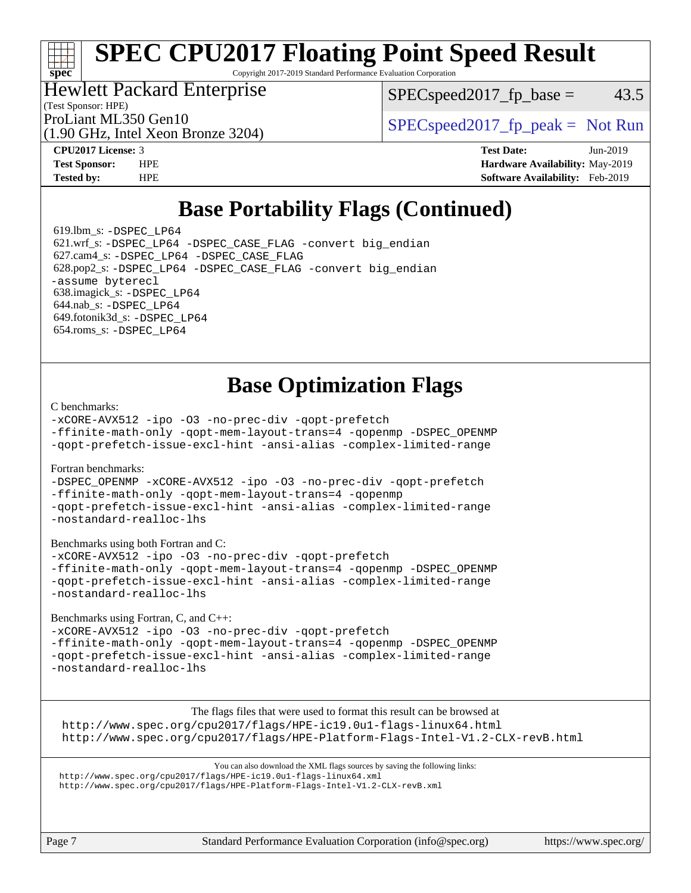Copyright 2017-2019 Standard Performance Evaluation Corporation

#### Hewlett Packard Enterprise

(Test Sponsor: HPE)

 $SPEC speed2017_fp\_base = 43.5$ 

(1.90 GHz, Intel Xeon Bronze 3204)

ProLiant ML350 Gen10  $SPEC speed2017_fp\_peak = Not Run$ 

**[spec](http://www.spec.org/)**

**[CPU2017 License:](http://www.spec.org/auto/cpu2017/Docs/result-fields.html#CPU2017License)** 3 **[Test Date:](http://www.spec.org/auto/cpu2017/Docs/result-fields.html#TestDate)** Jun-2019 **[Test Sponsor:](http://www.spec.org/auto/cpu2017/Docs/result-fields.html#TestSponsor)** HPE **[Hardware Availability:](http://www.spec.org/auto/cpu2017/Docs/result-fields.html#HardwareAvailability)** May-2019 **[Tested by:](http://www.spec.org/auto/cpu2017/Docs/result-fields.html#Testedby)** HPE **[Software Availability:](http://www.spec.org/auto/cpu2017/Docs/result-fields.html#SoftwareAvailability)** Feb-2019

# **[Base Portability Flags \(Continued\)](http://www.spec.org/auto/cpu2017/Docs/result-fields.html#BasePortabilityFlags)**

 619.lbm\_s: [-DSPEC\\_LP64](http://www.spec.org/cpu2017/results/res2019q3/cpu2017-20190708-16043.flags.html#suite_basePORTABILITY619_lbm_s_DSPEC_LP64) 621.wrf\_s: [-DSPEC\\_LP64](http://www.spec.org/cpu2017/results/res2019q3/cpu2017-20190708-16043.flags.html#suite_basePORTABILITY621_wrf_s_DSPEC_LP64) [-DSPEC\\_CASE\\_FLAG](http://www.spec.org/cpu2017/results/res2019q3/cpu2017-20190708-16043.flags.html#b621.wrf_s_baseCPORTABILITY_DSPEC_CASE_FLAG) [-convert big\\_endian](http://www.spec.org/cpu2017/results/res2019q3/cpu2017-20190708-16043.flags.html#user_baseFPORTABILITY621_wrf_s_convert_big_endian_c3194028bc08c63ac5d04de18c48ce6d347e4e562e8892b8bdbdc0214820426deb8554edfa529a3fb25a586e65a3d812c835984020483e7e73212c4d31a38223) 627.cam4\_s: [-DSPEC\\_LP64](http://www.spec.org/cpu2017/results/res2019q3/cpu2017-20190708-16043.flags.html#suite_basePORTABILITY627_cam4_s_DSPEC_LP64) [-DSPEC\\_CASE\\_FLAG](http://www.spec.org/cpu2017/results/res2019q3/cpu2017-20190708-16043.flags.html#b627.cam4_s_baseCPORTABILITY_DSPEC_CASE_FLAG) 628.pop2\_s: [-DSPEC\\_LP64](http://www.spec.org/cpu2017/results/res2019q3/cpu2017-20190708-16043.flags.html#suite_basePORTABILITY628_pop2_s_DSPEC_LP64) [-DSPEC\\_CASE\\_FLAG](http://www.spec.org/cpu2017/results/res2019q3/cpu2017-20190708-16043.flags.html#b628.pop2_s_baseCPORTABILITY_DSPEC_CASE_FLAG) [-convert big\\_endian](http://www.spec.org/cpu2017/results/res2019q3/cpu2017-20190708-16043.flags.html#user_baseFPORTABILITY628_pop2_s_convert_big_endian_c3194028bc08c63ac5d04de18c48ce6d347e4e562e8892b8bdbdc0214820426deb8554edfa529a3fb25a586e65a3d812c835984020483e7e73212c4d31a38223) [-assume byterecl](http://www.spec.org/cpu2017/results/res2019q3/cpu2017-20190708-16043.flags.html#user_baseFPORTABILITY628_pop2_s_assume_byterecl_7e47d18b9513cf18525430bbf0f2177aa9bf368bc7a059c09b2c06a34b53bd3447c950d3f8d6c70e3faf3a05c8557d66a5798b567902e8849adc142926523472) 638.imagick\_s: [-DSPEC\\_LP64](http://www.spec.org/cpu2017/results/res2019q3/cpu2017-20190708-16043.flags.html#suite_basePORTABILITY638_imagick_s_DSPEC_LP64) 644.nab\_s: [-DSPEC\\_LP64](http://www.spec.org/cpu2017/results/res2019q3/cpu2017-20190708-16043.flags.html#suite_basePORTABILITY644_nab_s_DSPEC_LP64) 649.fotonik3d\_s: [-DSPEC\\_LP64](http://www.spec.org/cpu2017/results/res2019q3/cpu2017-20190708-16043.flags.html#suite_basePORTABILITY649_fotonik3d_s_DSPEC_LP64) 654.roms\_s: [-DSPEC\\_LP64](http://www.spec.org/cpu2017/results/res2019q3/cpu2017-20190708-16043.flags.html#suite_basePORTABILITY654_roms_s_DSPEC_LP64)

# **[Base Optimization Flags](http://www.spec.org/auto/cpu2017/Docs/result-fields.html#BaseOptimizationFlags)**

[C benchmarks](http://www.spec.org/auto/cpu2017/Docs/result-fields.html#Cbenchmarks):

[-xCORE-AVX512](http://www.spec.org/cpu2017/results/res2019q3/cpu2017-20190708-16043.flags.html#user_CCbase_f-xCORE-AVX512) [-ipo](http://www.spec.org/cpu2017/results/res2019q3/cpu2017-20190708-16043.flags.html#user_CCbase_f-ipo) [-O3](http://www.spec.org/cpu2017/results/res2019q3/cpu2017-20190708-16043.flags.html#user_CCbase_f-O3) [-no-prec-div](http://www.spec.org/cpu2017/results/res2019q3/cpu2017-20190708-16043.flags.html#user_CCbase_f-no-prec-div) [-qopt-prefetch](http://www.spec.org/cpu2017/results/res2019q3/cpu2017-20190708-16043.flags.html#user_CCbase_f-qopt-prefetch) [-ffinite-math-only](http://www.spec.org/cpu2017/results/res2019q3/cpu2017-20190708-16043.flags.html#user_CCbase_f_finite_math_only_cb91587bd2077682c4b38af759c288ed7c732db004271a9512da14a4f8007909a5f1427ecbf1a0fb78ff2a814402c6114ac565ca162485bbcae155b5e4258871) [-qopt-mem-layout-trans=4](http://www.spec.org/cpu2017/results/res2019q3/cpu2017-20190708-16043.flags.html#user_CCbase_f-qopt-mem-layout-trans_fa39e755916c150a61361b7846f310bcdf6f04e385ef281cadf3647acec3f0ae266d1a1d22d972a7087a248fd4e6ca390a3634700869573d231a252c784941a8) [-qopenmp](http://www.spec.org/cpu2017/results/res2019q3/cpu2017-20190708-16043.flags.html#user_CCbase_qopenmp_16be0c44f24f464004c6784a7acb94aca937f053568ce72f94b139a11c7c168634a55f6653758ddd83bcf7b8463e8028bb0b48b77bcddc6b78d5d95bb1df2967) [-DSPEC\\_OPENMP](http://www.spec.org/cpu2017/results/res2019q3/cpu2017-20190708-16043.flags.html#suite_CCbase_DSPEC_OPENMP) [-qopt-prefetch-issue-excl-hint](http://www.spec.org/cpu2017/results/res2019q3/cpu2017-20190708-16043.flags.html#user_CCbase_f-qopt-prefetch-issue-excl-hint) [-ansi-alias](http://www.spec.org/cpu2017/results/res2019q3/cpu2017-20190708-16043.flags.html#user_CCbase_f-ansi-alias) [-complex-limited-range](http://www.spec.org/cpu2017/results/res2019q3/cpu2017-20190708-16043.flags.html#user_CCbase_f-complex-limited-range)

[Fortran benchmarks](http://www.spec.org/auto/cpu2017/Docs/result-fields.html#Fortranbenchmarks):

[-DSPEC\\_OPENMP](http://www.spec.org/cpu2017/results/res2019q3/cpu2017-20190708-16043.flags.html#suite_FCbase_DSPEC_OPENMP) [-xCORE-AVX512](http://www.spec.org/cpu2017/results/res2019q3/cpu2017-20190708-16043.flags.html#user_FCbase_f-xCORE-AVX512) [-ipo](http://www.spec.org/cpu2017/results/res2019q3/cpu2017-20190708-16043.flags.html#user_FCbase_f-ipo) [-O3](http://www.spec.org/cpu2017/results/res2019q3/cpu2017-20190708-16043.flags.html#user_FCbase_f-O3) [-no-prec-div](http://www.spec.org/cpu2017/results/res2019q3/cpu2017-20190708-16043.flags.html#user_FCbase_f-no-prec-div) [-qopt-prefetch](http://www.spec.org/cpu2017/results/res2019q3/cpu2017-20190708-16043.flags.html#user_FCbase_f-qopt-prefetch) [-ffinite-math-only](http://www.spec.org/cpu2017/results/res2019q3/cpu2017-20190708-16043.flags.html#user_FCbase_f_finite_math_only_cb91587bd2077682c4b38af759c288ed7c732db004271a9512da14a4f8007909a5f1427ecbf1a0fb78ff2a814402c6114ac565ca162485bbcae155b5e4258871) [-qopt-mem-layout-trans=4](http://www.spec.org/cpu2017/results/res2019q3/cpu2017-20190708-16043.flags.html#user_FCbase_f-qopt-mem-layout-trans_fa39e755916c150a61361b7846f310bcdf6f04e385ef281cadf3647acec3f0ae266d1a1d22d972a7087a248fd4e6ca390a3634700869573d231a252c784941a8) [-qopenmp](http://www.spec.org/cpu2017/results/res2019q3/cpu2017-20190708-16043.flags.html#user_FCbase_qopenmp_16be0c44f24f464004c6784a7acb94aca937f053568ce72f94b139a11c7c168634a55f6653758ddd83bcf7b8463e8028bb0b48b77bcddc6b78d5d95bb1df2967) [-qopt-prefetch-issue-excl-hint](http://www.spec.org/cpu2017/results/res2019q3/cpu2017-20190708-16043.flags.html#user_FCbase_f-qopt-prefetch-issue-excl-hint) [-ansi-alias](http://www.spec.org/cpu2017/results/res2019q3/cpu2017-20190708-16043.flags.html#user_FCbase_f-ansi-alias) [-complex-limited-range](http://www.spec.org/cpu2017/results/res2019q3/cpu2017-20190708-16043.flags.html#user_FCbase_f-complex-limited-range) [-nostandard-realloc-lhs](http://www.spec.org/cpu2017/results/res2019q3/cpu2017-20190708-16043.flags.html#user_FCbase_f_2003_std_realloc_82b4557e90729c0f113870c07e44d33d6f5a304b4f63d4c15d2d0f1fab99f5daaed73bdb9275d9ae411527f28b936061aa8b9c8f2d63842963b95c9dd6426b8a)

[Benchmarks using both Fortran and C](http://www.spec.org/auto/cpu2017/Docs/result-fields.html#BenchmarksusingbothFortranandC):

[-xCORE-AVX512](http://www.spec.org/cpu2017/results/res2019q3/cpu2017-20190708-16043.flags.html#user_CC_FCbase_f-xCORE-AVX512) [-ipo](http://www.spec.org/cpu2017/results/res2019q3/cpu2017-20190708-16043.flags.html#user_CC_FCbase_f-ipo) [-O3](http://www.spec.org/cpu2017/results/res2019q3/cpu2017-20190708-16043.flags.html#user_CC_FCbase_f-O3) [-no-prec-div](http://www.spec.org/cpu2017/results/res2019q3/cpu2017-20190708-16043.flags.html#user_CC_FCbase_f-no-prec-div) [-qopt-prefetch](http://www.spec.org/cpu2017/results/res2019q3/cpu2017-20190708-16043.flags.html#user_CC_FCbase_f-qopt-prefetch) [-ffinite-math-only](http://www.spec.org/cpu2017/results/res2019q3/cpu2017-20190708-16043.flags.html#user_CC_FCbase_f_finite_math_only_cb91587bd2077682c4b38af759c288ed7c732db004271a9512da14a4f8007909a5f1427ecbf1a0fb78ff2a814402c6114ac565ca162485bbcae155b5e4258871) [-qopt-mem-layout-trans=4](http://www.spec.org/cpu2017/results/res2019q3/cpu2017-20190708-16043.flags.html#user_CC_FCbase_f-qopt-mem-layout-trans_fa39e755916c150a61361b7846f310bcdf6f04e385ef281cadf3647acec3f0ae266d1a1d22d972a7087a248fd4e6ca390a3634700869573d231a252c784941a8) [-qopenmp](http://www.spec.org/cpu2017/results/res2019q3/cpu2017-20190708-16043.flags.html#user_CC_FCbase_qopenmp_16be0c44f24f464004c6784a7acb94aca937f053568ce72f94b139a11c7c168634a55f6653758ddd83bcf7b8463e8028bb0b48b77bcddc6b78d5d95bb1df2967) [-DSPEC\\_OPENMP](http://www.spec.org/cpu2017/results/res2019q3/cpu2017-20190708-16043.flags.html#suite_CC_FCbase_DSPEC_OPENMP) [-qopt-prefetch-issue-excl-hint](http://www.spec.org/cpu2017/results/res2019q3/cpu2017-20190708-16043.flags.html#user_CC_FCbase_f-qopt-prefetch-issue-excl-hint) [-ansi-alias](http://www.spec.org/cpu2017/results/res2019q3/cpu2017-20190708-16043.flags.html#user_CC_FCbase_f-ansi-alias) [-complex-limited-range](http://www.spec.org/cpu2017/results/res2019q3/cpu2017-20190708-16043.flags.html#user_CC_FCbase_f-complex-limited-range) [-nostandard-realloc-lhs](http://www.spec.org/cpu2017/results/res2019q3/cpu2017-20190708-16043.flags.html#user_CC_FCbase_f_2003_std_realloc_82b4557e90729c0f113870c07e44d33d6f5a304b4f63d4c15d2d0f1fab99f5daaed73bdb9275d9ae411527f28b936061aa8b9c8f2d63842963b95c9dd6426b8a)

[Benchmarks using Fortran, C, and C++:](http://www.spec.org/auto/cpu2017/Docs/result-fields.html#BenchmarksusingFortranCandCXX)

[-xCORE-AVX512](http://www.spec.org/cpu2017/results/res2019q3/cpu2017-20190708-16043.flags.html#user_CC_CXX_FCbase_f-xCORE-AVX512) [-ipo](http://www.spec.org/cpu2017/results/res2019q3/cpu2017-20190708-16043.flags.html#user_CC_CXX_FCbase_f-ipo) [-O3](http://www.spec.org/cpu2017/results/res2019q3/cpu2017-20190708-16043.flags.html#user_CC_CXX_FCbase_f-O3) [-no-prec-div](http://www.spec.org/cpu2017/results/res2019q3/cpu2017-20190708-16043.flags.html#user_CC_CXX_FCbase_f-no-prec-div) [-qopt-prefetch](http://www.spec.org/cpu2017/results/res2019q3/cpu2017-20190708-16043.flags.html#user_CC_CXX_FCbase_f-qopt-prefetch) [-ffinite-math-only](http://www.spec.org/cpu2017/results/res2019q3/cpu2017-20190708-16043.flags.html#user_CC_CXX_FCbase_f_finite_math_only_cb91587bd2077682c4b38af759c288ed7c732db004271a9512da14a4f8007909a5f1427ecbf1a0fb78ff2a814402c6114ac565ca162485bbcae155b5e4258871) [-qopt-mem-layout-trans=4](http://www.spec.org/cpu2017/results/res2019q3/cpu2017-20190708-16043.flags.html#user_CC_CXX_FCbase_f-qopt-mem-layout-trans_fa39e755916c150a61361b7846f310bcdf6f04e385ef281cadf3647acec3f0ae266d1a1d22d972a7087a248fd4e6ca390a3634700869573d231a252c784941a8) [-qopenmp](http://www.spec.org/cpu2017/results/res2019q3/cpu2017-20190708-16043.flags.html#user_CC_CXX_FCbase_qopenmp_16be0c44f24f464004c6784a7acb94aca937f053568ce72f94b139a11c7c168634a55f6653758ddd83bcf7b8463e8028bb0b48b77bcddc6b78d5d95bb1df2967) [-DSPEC\\_OPENMP](http://www.spec.org/cpu2017/results/res2019q3/cpu2017-20190708-16043.flags.html#suite_CC_CXX_FCbase_DSPEC_OPENMP) [-qopt-prefetch-issue-excl-hint](http://www.spec.org/cpu2017/results/res2019q3/cpu2017-20190708-16043.flags.html#user_CC_CXX_FCbase_f-qopt-prefetch-issue-excl-hint) [-ansi-alias](http://www.spec.org/cpu2017/results/res2019q3/cpu2017-20190708-16043.flags.html#user_CC_CXX_FCbase_f-ansi-alias) [-complex-limited-range](http://www.spec.org/cpu2017/results/res2019q3/cpu2017-20190708-16043.flags.html#user_CC_CXX_FCbase_f-complex-limited-range) [-nostandard-realloc-lhs](http://www.spec.org/cpu2017/results/res2019q3/cpu2017-20190708-16043.flags.html#user_CC_CXX_FCbase_f_2003_std_realloc_82b4557e90729c0f113870c07e44d33d6f5a304b4f63d4c15d2d0f1fab99f5daaed73bdb9275d9ae411527f28b936061aa8b9c8f2d63842963b95c9dd6426b8a)

The flags files that were used to format this result can be browsed at <http://www.spec.org/cpu2017/flags/HPE-ic19.0u1-flags-linux64.html> <http://www.spec.org/cpu2017/flags/HPE-Platform-Flags-Intel-V1.2-CLX-revB.html>

You can also download the XML flags sources by saving the following links: <http://www.spec.org/cpu2017/flags/HPE-ic19.0u1-flags-linux64.xml> <http://www.spec.org/cpu2017/flags/HPE-Platform-Flags-Intel-V1.2-CLX-revB.xml>